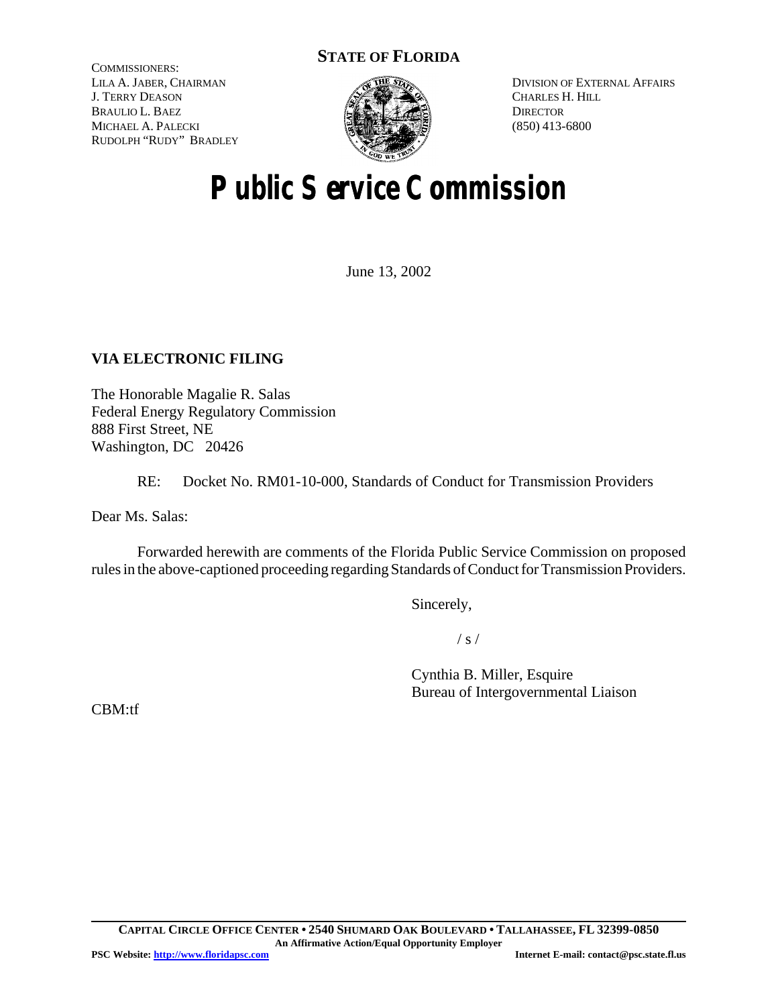# **STATE OF FLORIDA**

COMMISSIONERS: LILA A. JABER, CHAIRMAN J. TERRY DEASON BRAULIO L. BAEZ MICHAEL A. PALECKI RUDOLPH "RUDY" BRADLEY



DIVISION OF EXTERNAL AFFAIRS CHARLES H. HILL **DIRECTOR** (850) 413-6800

# **Public Service Commission**

June 13, 2002

# **VIA ELECTRONIC FILING**

The Honorable Magalie R. Salas Federal Energy Regulatory Commission 888 First Street, NE Washington, DC 20426

RE: Docket No. RM01-10-000, Standards of Conduct for Transmission Providers

Dear Ms. Salas:

Forwarded herewith are comments of the Florida Public Service Commission on proposed rules in the above-captioned proceeding regarding Standards of Conduct for Transmission Providers.

Sincerely,

 $/ s /$ 

Cynthia B. Miller, Esquire Bureau of Intergovernmental Liaison

CBM:tf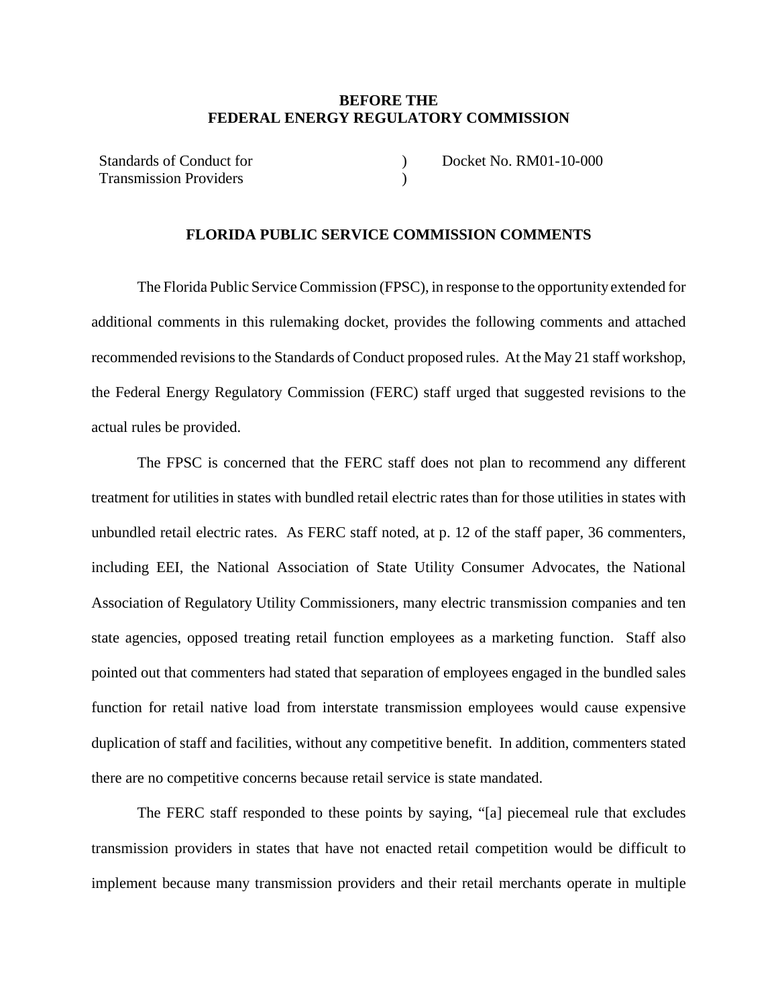#### **BEFORE THE FEDERAL ENERGY REGULATORY COMMISSION**

)  $\lambda$ 

Standards of Conduct for Transmission Providers

Docket No. RM01-10-000

#### **FLORIDA PUBLIC SERVICE COMMISSION COMMENTS**

The Florida Public Service Commission (FPSC), in response to the opportunity extended for additional comments in this rulemaking docket, provides the following comments and attached recommended revisions to the Standards of Conduct proposed rules. At the May 21 staff workshop, the Federal Energy Regulatory Commission (FERC) staff urged that suggested revisions to the actual rules be provided.

The FPSC is concerned that the FERC staff does not plan to recommend any different treatment for utilities in states with bundled retail electric rates than for those utilities in states with unbundled retail electric rates. As FERC staff noted, at p. 12 of the staff paper, 36 commenters, including EEI, the National Association of State Utility Consumer Advocates, the National Association of Regulatory Utility Commissioners, many electric transmission companies and ten state agencies, opposed treating retail function employees as a marketing function. Staff also pointed out that commenters had stated that separation of employees engaged in the bundled sales function for retail native load from interstate transmission employees would cause expensive duplication of staff and facilities, without any competitive benefit. In addition, commenters stated there are no competitive concerns because retail service is state mandated.

The FERC staff responded to these points by saying, "[a] piecemeal rule that excludes transmission providers in states that have not enacted retail competition would be difficult to implement because many transmission providers and their retail merchants operate in multiple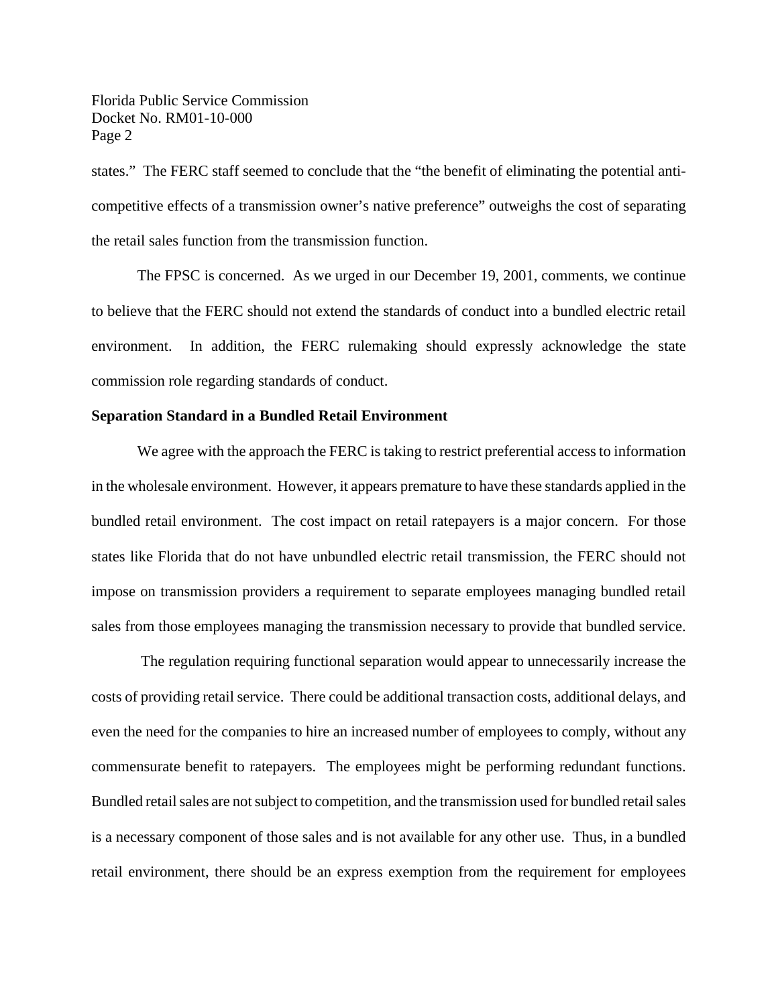Florida Public Service Commission Docket No. RM01-10-000 Page 2

states." The FERC staff seemed to conclude that the "the benefit of eliminating the potential anticompetitive effects of a transmission owner's native preference" outweighs the cost of separating the retail sales function from the transmission function.

The FPSC is concerned. As we urged in our December 19, 2001, comments, we continue to believe that the FERC should not extend the standards of conduct into a bundled electric retail environment. In addition, the FERC rulemaking should expressly acknowledge the state commission role regarding standards of conduct.

#### **Separation Standard in a Bundled Retail Environment**

We agree with the approach the FERC is taking to restrict preferential access to information in the wholesale environment. However, it appears premature to have these standards applied in the bundled retail environment. The cost impact on retail ratepayers is a major concern. For those states like Florida that do not have unbundled electric retail transmission, the FERC should not impose on transmission providers a requirement to separate employees managing bundled retail sales from those employees managing the transmission necessary to provide that bundled service.

 The regulation requiring functional separation would appear to unnecessarily increase the costs of providing retail service. There could be additional transaction costs, additional delays, and even the need for the companies to hire an increased number of employees to comply, without any commensurate benefit to ratepayers. The employees might be performing redundant functions. Bundled retail sales are not subject to competition, and the transmission used for bundled retail sales is a necessary component of those sales and is not available for any other use. Thus, in a bundled retail environment, there should be an express exemption from the requirement for employees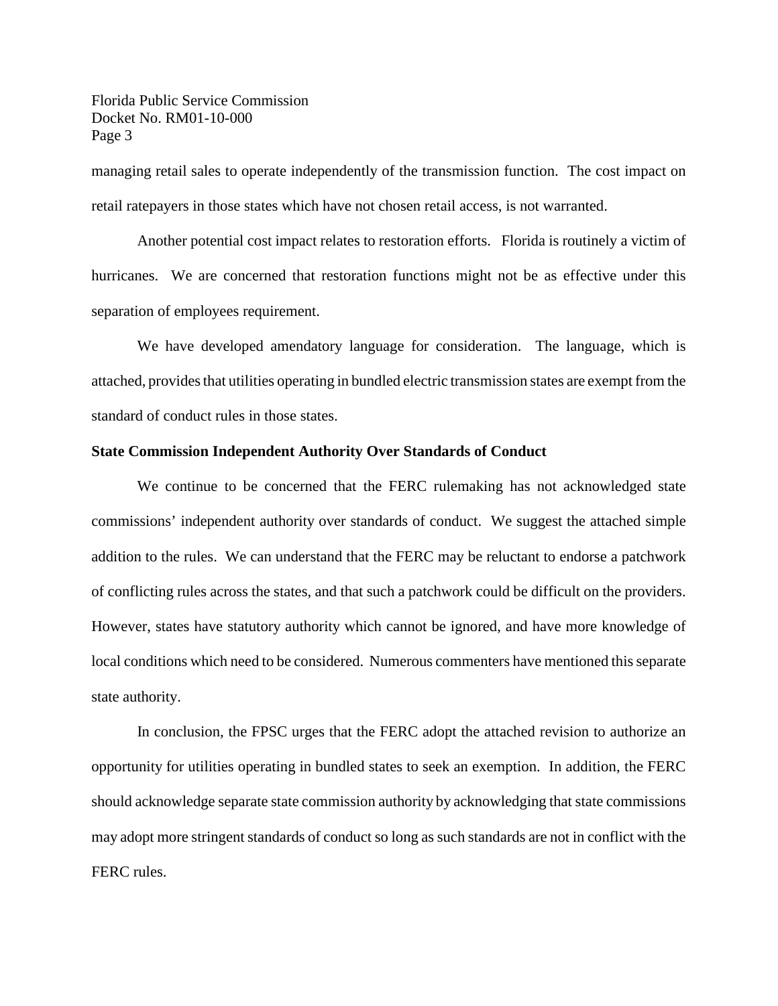Florida Public Service Commission Docket No. RM01-10-000 Page 3

managing retail sales to operate independently of the transmission function. The cost impact on retail ratepayers in those states which have not chosen retail access, is not warranted.

Another potential cost impact relates to restoration efforts. Florida is routinely a victim of hurricanes. We are concerned that restoration functions might not be as effective under this separation of employees requirement.

We have developed amendatory language for consideration. The language, which is attached, provides that utilities operating in bundled electric transmission states are exempt from the standard of conduct rules in those states.

#### **State Commission Independent Authority Over Standards of Conduct**

We continue to be concerned that the FERC rulemaking has not acknowledged state commissions' independent authority over standards of conduct. We suggest the attached simple addition to the rules. We can understand that the FERC may be reluctant to endorse a patchwork of conflicting rules across the states, and that such a patchwork could be difficult on the providers. However, states have statutory authority which cannot be ignored, and have more knowledge of local conditions which need to be considered. Numerous commenters have mentioned this separate state authority.

In conclusion, the FPSC urges that the FERC adopt the attached revision to authorize an opportunity for utilities operating in bundled states to seek an exemption. In addition, the FERC should acknowledge separate state commission authority by acknowledging that state commissions may adopt more stringent standards of conduct so long as such standards are not in conflict with the FERC rules.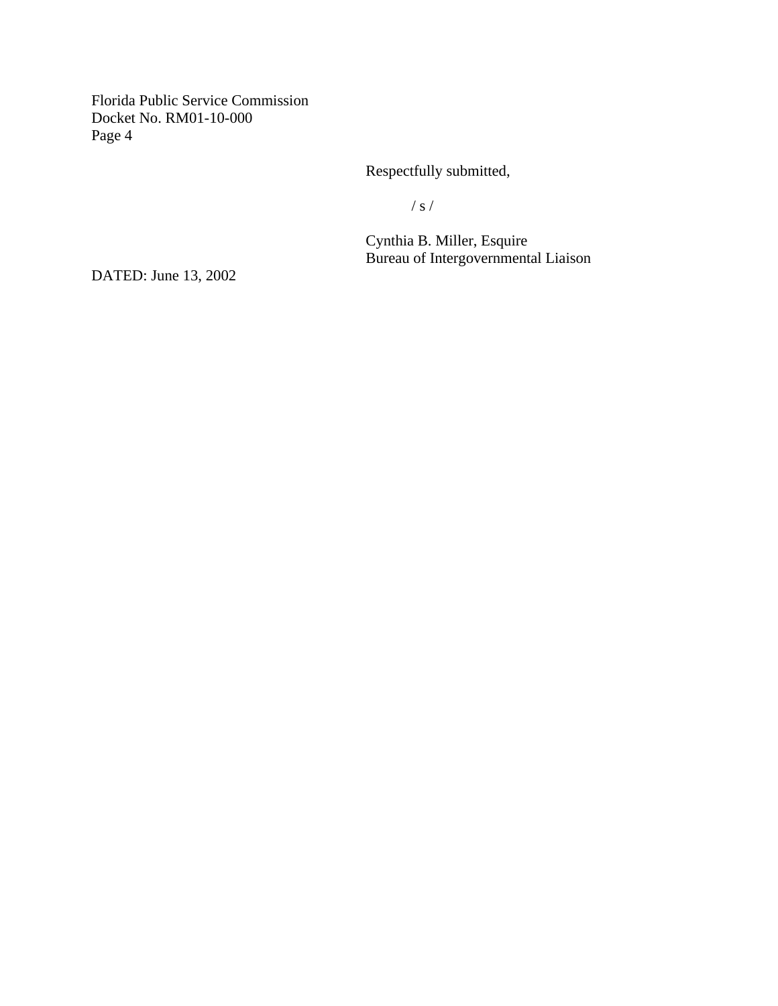Florida Public Service Commission Docket No. RM01-10-000 Page 4

Respectfully submitted,

/ s /

Cynthia B. Miller, Esquire Bureau of Intergovernmental Liaison

DATED: June 13, 2002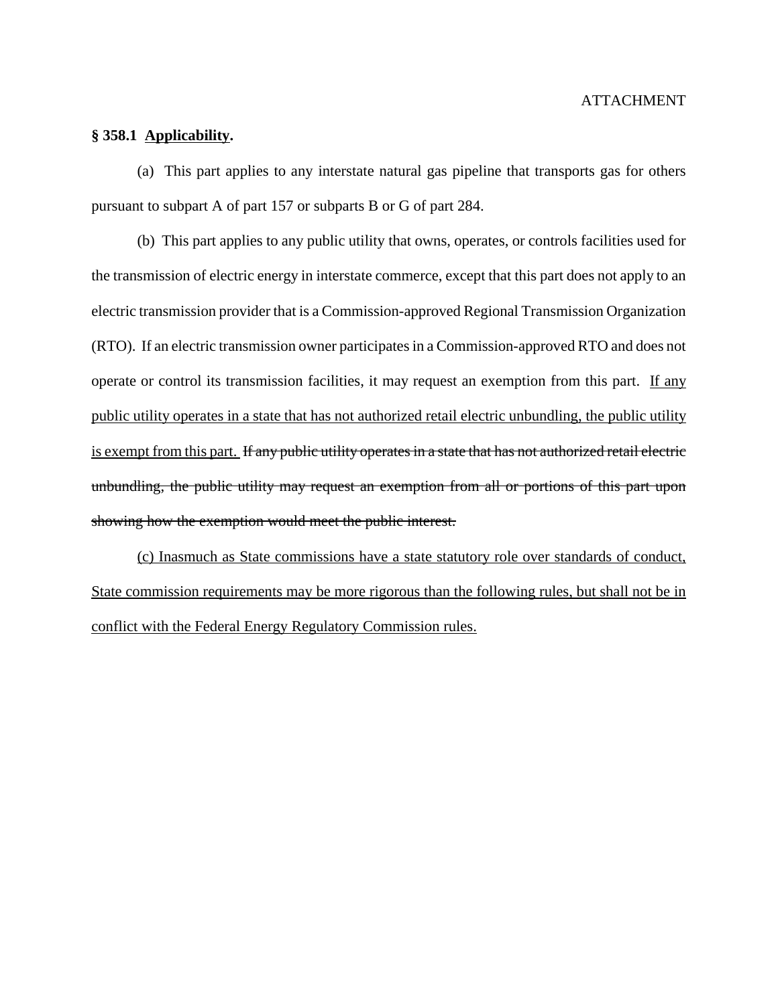#### ATTACHMENT

#### **§ 358.1 Applicability.**

(a) This part applies to any interstate natural gas pipeline that transports gas for others pursuant to subpart A of part 157 or subparts B or G of part 284.

(b) This part applies to any public utility that owns, operates, or controls facilities used for the transmission of electric energy in interstate commerce, except that this part does not apply to an electric transmission provider that is a Commission-approved Regional Transmission Organization (RTO). If an electric transmission owner participates in a Commission-approved RTO and does not operate or control its transmission facilities, it may request an exemption from this part. If any public utility operates in a state that has not authorized retail electric unbundling, the public utility is exempt from this part. If any public utility operates in a state that has not authorized retail electric unbundling, the public utility may request an exemption from all or portions of this part upon showing how the exemption would meet the public interest.

(c) Inasmuch as State commissions have a state statutory role over standards of conduct, State commission requirements may be more rigorous than the following rules, but shall not be in conflict with the Federal Energy Regulatory Commission rules.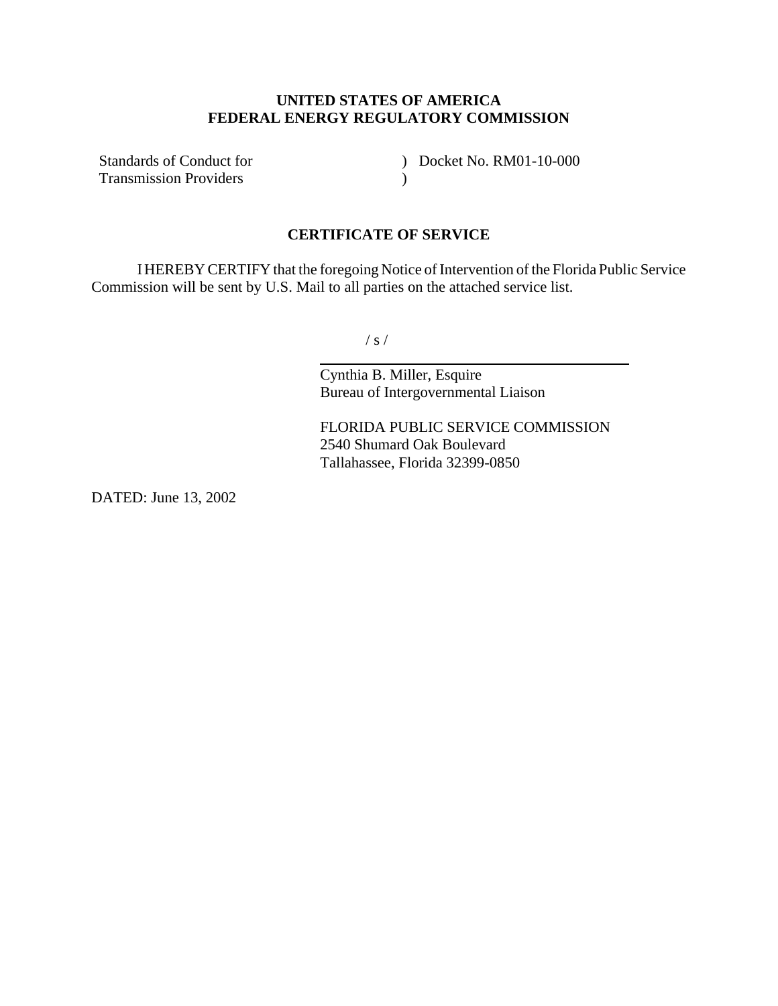## **UNITED STATES OF AMERICA FEDERAL ENERGY REGULATORY COMMISSION**

Standards of Conduct for Transmission Providers

) Docket No. RM01-10-000  $\lambda$ 

### **CERTIFICATE OF SERVICE**

IHEREBY CERTIFY that the foregoing Notice of Intervention of the Florida Public Service Commission will be sent by U.S. Mail to all parties on the attached service list.

 $/ s /$ 

 $\overline{a}$ 

Cynthia B. Miller, Esquire Bureau of Intergovernmental Liaison

FLORIDA PUBLIC SERVICE COMMISSION 2540 Shumard Oak Boulevard Tallahassee, Florida 32399-0850

DATED: June 13, 2002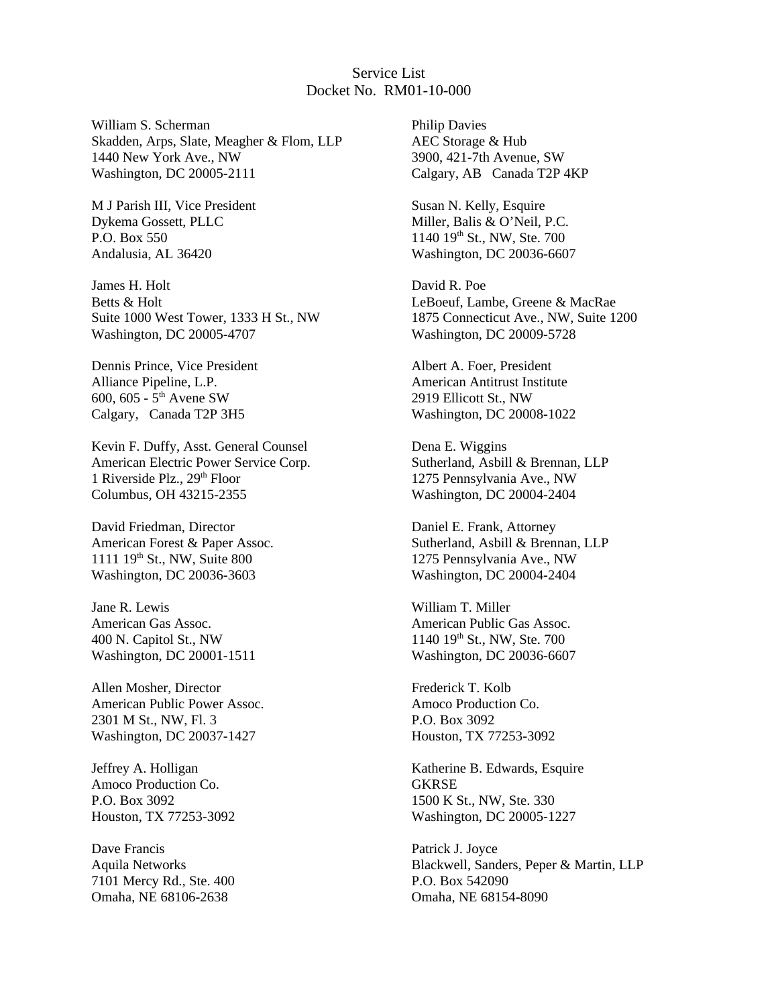## Service List Docket No. RM01-10-000

William S. Scherman Skadden, Arps, Slate, Meagher & Flom, LLP 1440 New York Ave., NW Washington, DC 20005-2111

M J Parish III, Vice President Dykema Gossett, PLLC P.O. Box 550 Andalusia, AL 36420

James H. Holt Betts & Holt Suite 1000 West Tower, 1333 H St., NW Washington, DC 20005-4707

Dennis Prince, Vice President Alliance Pipeline, L.P. 600, 605 -  $5^{\text{th}}$  Avene SW Calgary, Canada T2P 3H5

Kevin F. Duffy, Asst. General Counsel American Electric Power Service Corp. 1 Riverside Plz.,  $29<sup>th</sup>$  Floor Columbus, OH 43215-2355

David Friedman, Director American Forest & Paper Assoc. 1111 19<sup>th</sup> St., NW, Suite 800 Washington, DC 20036-3603

Jane R. Lewis American Gas Assoc. 400 N. Capitol St., NW Washington, DC 20001-1511

Allen Mosher, Director American Public Power Assoc. 2301 M St., NW, Fl. 3 Washington, DC 20037-1427

Jeffrey A. Holligan Amoco Production Co. P.O. Box 3092 Houston, TX 77253-3092

Dave Francis Aquila Networks 7101 Mercy Rd., Ste. 400 Omaha, NE 68106-2638

Philip Davies AEC Storage & Hub 3900, 421-7th Avenue, SW Calgary, AB Canada T2P 4KP

Susan N. Kelly, Esquire Miller, Balis & O'Neil, P.C. 1140 19th St., NW, Ste. 700 Washington, DC 20036-6607

David R. Poe LeBoeuf, Lambe, Greene & MacRae 1875 Connecticut Ave., NW, Suite 1200 Washington, DC 20009-5728

Albert A. Foer, President American Antitrust Institute 2919 Ellicott St., NW Washington, DC 20008-1022

Dena E. Wiggins Sutherland, Asbill & Brennan, LLP 1275 Pennsylvania Ave., NW Washington, DC 20004-2404

Daniel E. Frank, Attorney Sutherland, Asbill & Brennan, LLP 1275 Pennsylvania Ave., NW Washington, DC 20004-2404

William T. Miller American Public Gas Assoc.  $1140$   $19<sup>th</sup>$  St., NW, Ste. 700 Washington, DC 20036-6607

Frederick T. Kolb Amoco Production Co. P.O. Box 3092 Houston, TX 77253-3092

Katherine B. Edwards, Esquire **GKRSE** 1500 K St., NW, Ste. 330 Washington, DC 20005-1227

Patrick J. Joyce Blackwell, Sanders, Peper & Martin, LLP P.O. Box 542090 Omaha, NE 68154-8090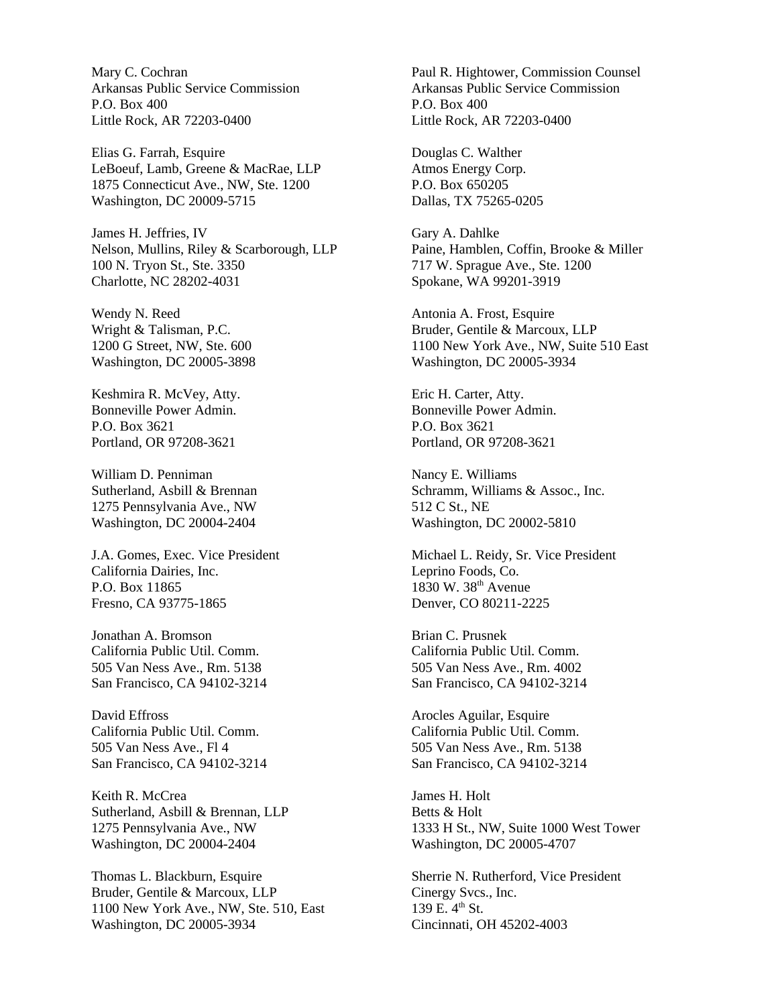Mary C. Cochran Arkansas Public Service Commission P.O. Box 400 Little Rock, AR 72203-0400

Elias G. Farrah, Esquire LeBoeuf, Lamb, Greene & MacRae, LLP 1875 Connecticut Ave., NW, Ste. 1200 Washington, DC 20009-5715

James H. Jeffries, IV Nelson, Mullins, Riley & Scarborough, LLP 100 N. Tryon St., Ste. 3350 Charlotte, NC 28202-4031

Wendy N. Reed Wright & Talisman, P.C. 1200 G Street, NW, Ste. 600 Washington, DC 20005-3898

Keshmira R. McVey, Atty. Bonneville Power Admin. P.O. Box 3621 Portland, OR 97208-3621

William D. Penniman Sutherland, Asbill & Brennan 1275 Pennsylvania Ave., NW Washington, DC 20004-2404

J.A. Gomes, Exec. Vice President California Dairies, Inc. P.O. Box 11865 Fresno, CA 93775-1865

Jonathan A. Bromson California Public Util. Comm. 505 Van Ness Ave., Rm. 5138 San Francisco, CA 94102-3214

David Effross California Public Util. Comm. 505 Van Ness Ave., Fl 4 San Francisco, CA 94102-3214

Keith R. McCrea Sutherland, Asbill & Brennan, LLP 1275 Pennsylvania Ave., NW Washington, DC 20004-2404

Thomas L. Blackburn, Esquire Bruder, Gentile & Marcoux, LLP 1100 New York Ave., NW, Ste. 510, East Washington, DC 20005-3934

Paul R. Hightower, Commission Counsel Arkansas Public Service Commission P.O. Box 400 Little Rock, AR 72203-0400

Douglas C. Walther Atmos Energy Corp. P.O. Box 650205 Dallas, TX 75265-0205

Gary A. Dahlke Paine, Hamblen, Coffin, Brooke & Miller 717 W. Sprague Ave., Ste. 1200 Spokane, WA 99201-3919

Antonia A. Frost, Esquire Bruder, Gentile & Marcoux, LLP 1100 New York Ave., NW, Suite 510 East Washington, DC 20005-3934

Eric H. Carter, Atty. Bonneville Power Admin. P.O. Box 3621 Portland, OR 97208-3621

Nancy E. Williams Schramm, Williams & Assoc., Inc. 512 C St., NE Washington, DC 20002-5810

Michael L. Reidy, Sr. Vice President Leprino Foods, Co. 1830 W. 38<sup>th</sup> Avenue Denver, CO 80211-2225

Brian C. Prusnek California Public Util. Comm. 505 Van Ness Ave., Rm. 4002 San Francisco, CA 94102-3214

Arocles Aguilar, Esquire California Public Util. Comm. 505 Van Ness Ave., Rm. 5138 San Francisco, CA 94102-3214

James H. Holt Betts & Holt 1333 H St., NW, Suite 1000 West Tower Washington, DC 20005-4707

Sherrie N. Rutherford, Vice President Cinergy Svcs., Inc. 139 E.  $4^{\text{th}}$  St. Cincinnati, OH 45202-4003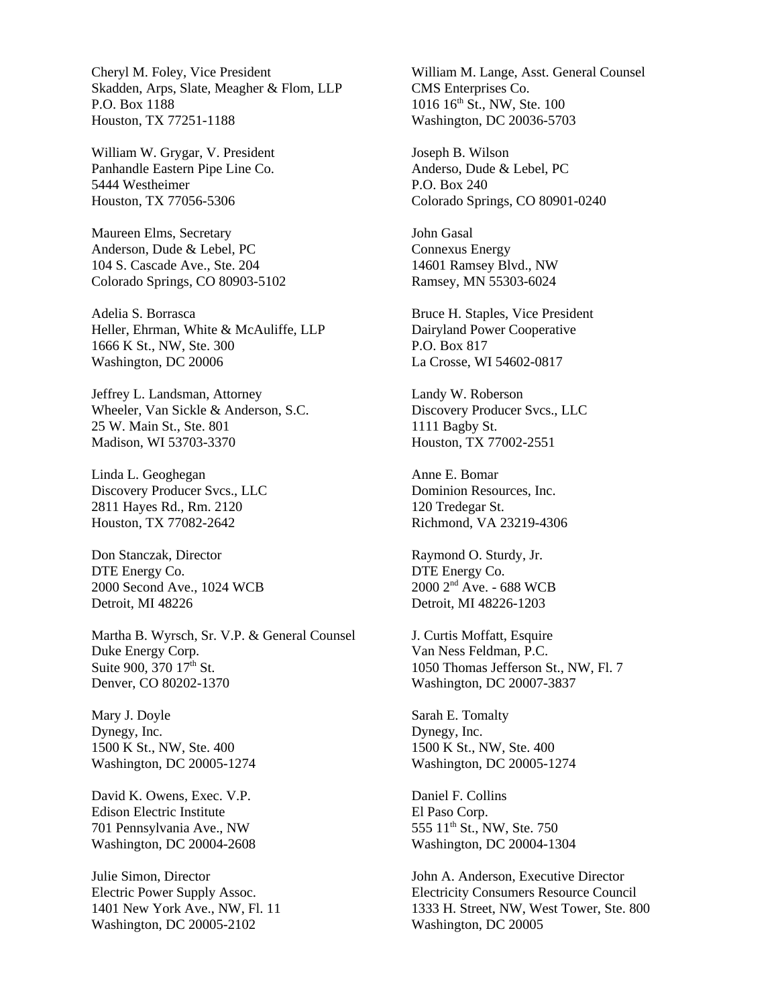Cheryl M. Foley, Vice President Skadden, Arps, Slate, Meagher & Flom, LLP P.O. Box 1188 Houston, TX 77251-1188

William W. Grygar, V. President Panhandle Eastern Pipe Line Co. 5444 Westheimer Houston, TX 77056-5306

Maureen Elms, Secretary Anderson, Dude & Lebel, PC 104 S. Cascade Ave., Ste. 204 Colorado Springs, CO 80903-5102

Adelia S. Borrasca Heller, Ehrman, White & McAuliffe, LLP 1666 K St., NW, Ste. 300 Washington, DC 20006

Jeffrey L. Landsman, Attorney Wheeler, Van Sickle & Anderson, S.C. 25 W. Main St., Ste. 801 Madison, WI 53703-3370

Linda L. Geoghegan Discovery Producer Svcs., LLC 2811 Hayes Rd., Rm. 2120 Houston, TX 77082-2642

Don Stanczak, Director DTE Energy Co. 2000 Second Ave., 1024 WCB Detroit, MI 48226

Martha B. Wyrsch, Sr. V.P. & General Counsel Duke Energy Corp. Suite 900, 370  $17<sup>th</sup>$  St. Denver, CO 80202-1370

Mary J. Doyle Dynegy, Inc. 1500 K St., NW, Ste. 400 Washington, DC 20005-1274

David K. Owens, Exec. V.P. Edison Electric Institute 701 Pennsylvania Ave., NW Washington, DC 20004-2608

Julie Simon, Director Electric Power Supply Assoc. 1401 New York Ave., NW, Fl. 11 Washington, DC 20005-2102

William M. Lange, Asst. General Counsel CMS Enterprises Co. 1016 16<sup>th</sup> St., NW, Ste. 100 Washington, DC 20036-5703

Joseph B. Wilson Anderso, Dude & Lebel, PC P.O. Box 240 Colorado Springs, CO 80901-0240

John Gasal Connexus Energy 14601 Ramsey Blvd., NW Ramsey, MN 55303-6024

Bruce H. Staples, Vice President Dairyland Power Cooperative P.O. Box 817 La Crosse, WI 54602-0817

Landy W. Roberson Discovery Producer Svcs., LLC 1111 Bagby St. Houston, TX 77002-2551

Anne E. Bomar Dominion Resources, Inc. 120 Tredegar St. Richmond, VA 23219-4306

Raymond O. Sturdy, Jr. DTE Energy Co. 2000 2nd Ave. - 688 WCB Detroit, MI 48226-1203

J. Curtis Moffatt, Esquire Van Ness Feldman, P.C. 1050 Thomas Jefferson St., NW, Fl. 7 Washington, DC 20007-3837

Sarah E. Tomalty Dynegy, Inc. 1500 K St., NW, Ste. 400 Washington, DC 20005-1274

Daniel F. Collins El Paso Corp. 555 11th St., NW, Ste. 750 Washington, DC 20004-1304

John A. Anderson, Executive Director Electricity Consumers Resource Council 1333 H. Street, NW, West Tower, Ste. 800 Washington, DC 20005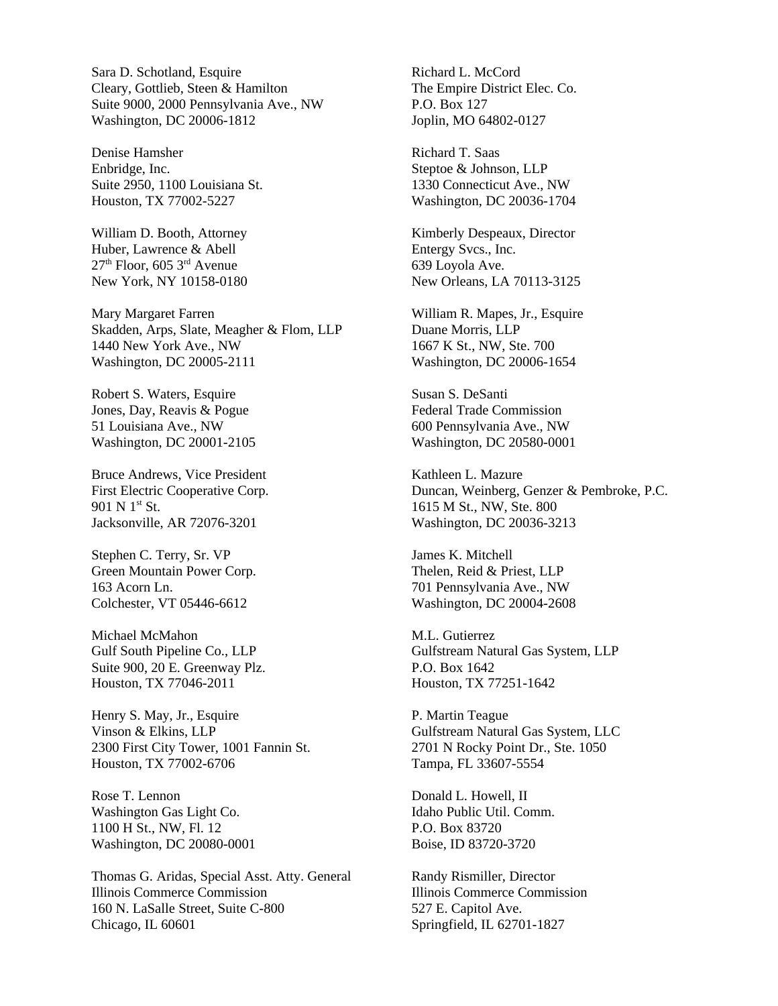Sara D. Schotland, Esquire Cleary, Gottlieb, Steen & Hamilton Suite 9000, 2000 Pennsylvania Ave., NW Washington, DC 20006-1812

Denise Hamsher Enbridge, Inc. Suite 2950, 1100 Louisiana St. Houston, TX 77002-5227

William D. Booth, Attorney Huber, Lawrence & Abell  $27<sup>th</sup>$  Floor, 605  $3<sup>rd</sup>$  Avenue New York, NY 10158-0180

Mary Margaret Farren Skadden, Arps, Slate, Meagher & Flom, LLP 1440 New York Ave., NW Washington, DC 20005-2111

Robert S. Waters, Esquire Jones, Day, Reavis & Pogue 51 Louisiana Ave., NW Washington, DC 20001-2105

Bruce Andrews, Vice President First Electric Cooperative Corp. 901 N  $1^{\rm st}$  St. Jacksonville, AR 72076-3201

Stephen C. Terry, Sr. VP Green Mountain Power Corp. 163 Acorn Ln. Colchester, VT 05446-6612

Michael McMahon Gulf South Pipeline Co., LLP Suite 900, 20 E. Greenway Plz. Houston, TX 77046-2011

Henry S. May, Jr., Esquire Vinson & Elkins, LLP 2300 First City Tower, 1001 Fannin St. Houston, TX 77002-6706

Rose T. Lennon Washington Gas Light Co. 1100 H St., NW, Fl. 12 Washington, DC 20080-0001

Thomas G. Aridas, Special Asst. Atty. General Illinois Commerce Commission 160 N. LaSalle Street, Suite C-800 Chicago, IL 60601

Richard L. McCord The Empire District Elec. Co. P.O. Box 127 Joplin, MO 64802-0127

Richard T. Saas Steptoe & Johnson, LLP 1330 Connecticut Ave., NW Washington, DC 20036-1704

Kimberly Despeaux, Director Entergy Svcs., Inc. 639 Loyola Ave. New Orleans, LA 70113-3125

William R. Mapes, Jr., Esquire Duane Morris, LLP 1667 K St., NW, Ste. 700 Washington, DC 20006-1654

Susan S. DeSanti Federal Trade Commission 600 Pennsylvania Ave., NW Washington, DC 20580-0001

Kathleen L. Mazure Duncan, Weinberg, Genzer & Pembroke, P.C. 1615 M St., NW, Ste. 800 Washington, DC 20036-3213

James K. Mitchell Thelen, Reid & Priest, LLP 701 Pennsylvania Ave., NW Washington, DC 20004-2608

M.L. Gutierrez Gulfstream Natural Gas System, LLP P.O. Box 1642 Houston, TX 77251-1642

P. Martin Teague Gulfstream Natural Gas System, LLC 2701 N Rocky Point Dr., Ste. 1050 Tampa, FL 33607-5554

Donald L. Howell, II Idaho Public Util. Comm. P.O. Box 83720 Boise, ID 83720-3720

Randy Rismiller, Director Illinois Commerce Commission 527 E. Capitol Ave. Springfield, IL 62701-1827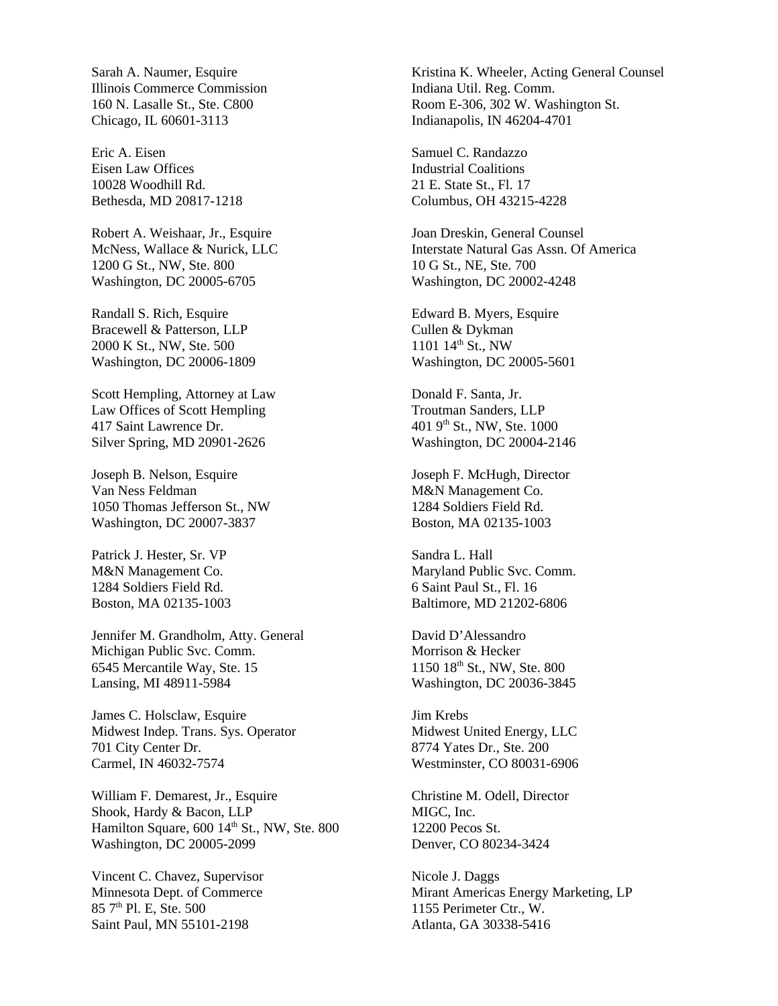Sarah A. Naumer, Esquire Illinois Commerce Commission 160 N. Lasalle St., Ste. C800 Chicago, IL 60601-3113

Eric A. Eisen Eisen Law Offices 10028 Woodhill Rd. Bethesda, MD 20817-1218

Robert A. Weishaar, Jr., Esquire McNess, Wallace & Nurick, LLC 1200 G St., NW, Ste. 800 Washington, DC 20005-6705

Randall S. Rich, Esquire Bracewell & Patterson, LLP 2000 K St., NW, Ste. 500 Washington, DC 20006-1809

Scott Hempling, Attorney at Law Law Offices of Scott Hempling 417 Saint Lawrence Dr. Silver Spring, MD 20901-2626

Joseph B. Nelson, Esquire Van Ness Feldman 1050 Thomas Jefferson St., NW Washington, DC 20007-3837

Patrick J. Hester, Sr. VP M&N Management Co. 1284 Soldiers Field Rd. Boston, MA 02135-1003

Jennifer M. Grandholm, Atty. General Michigan Public Svc. Comm. 6545 Mercantile Way, Ste. 15 Lansing, MI 48911-5984

James C. Holsclaw, Esquire Midwest Indep. Trans. Sys. Operator 701 City Center Dr. Carmel, IN 46032-7574

William F. Demarest, Jr., Esquire Shook, Hardy & Bacon, LLP Hamilton Square, 600 14<sup>th</sup> St., NW, Ste. 800 Washington, DC 20005-2099

Vincent C. Chavez, Supervisor Minnesota Dept. of Commerce  $857<sup>th</sup>$  Pl. E, Ste. 500 Saint Paul, MN 55101-2198

Kristina K. Wheeler, Acting General Counsel Indiana Util. Reg. Comm. Room E-306, 302 W. Washington St. Indianapolis, IN 46204-4701

Samuel C. Randazzo Industrial Coalitions 21 E. State St., Fl. 17 Columbus, OH 43215-4228

Joan Dreskin, General Counsel Interstate Natural Gas Assn. Of America 10 G St., NE, Ste. 700 Washington, DC 20002-4248

Edward B. Myers, Esquire Cullen & Dykman  $1101 \; 14$ <sup>th</sup> St., NW Washington, DC 20005-5601

Donald F. Santa, Jr. Troutman Sanders, LLP 401 9th St., NW, Ste. 1000 Washington, DC 20004-2146

Joseph F. McHugh, Director M&N Management Co. 1284 Soldiers Field Rd. Boston, MA 02135-1003

Sandra L. Hall Maryland Public Svc. Comm. 6 Saint Paul St., Fl. 16 Baltimore, MD 21202-6806

David D'Alessandro Morrison & Hecker  $1150$   $18^{th}$  St., NW, Ste. 800 Washington, DC 20036-3845

Jim Krebs Midwest United Energy, LLC 8774 Yates Dr., Ste. 200 Westminster, CO 80031-6906

Christine M. Odell, Director MIGC, Inc. 12200 Pecos St. Denver, CO 80234-3424

Nicole J. Daggs Mirant Americas Energy Marketing, LP 1155 Perimeter Ctr., W. Atlanta, GA 30338-5416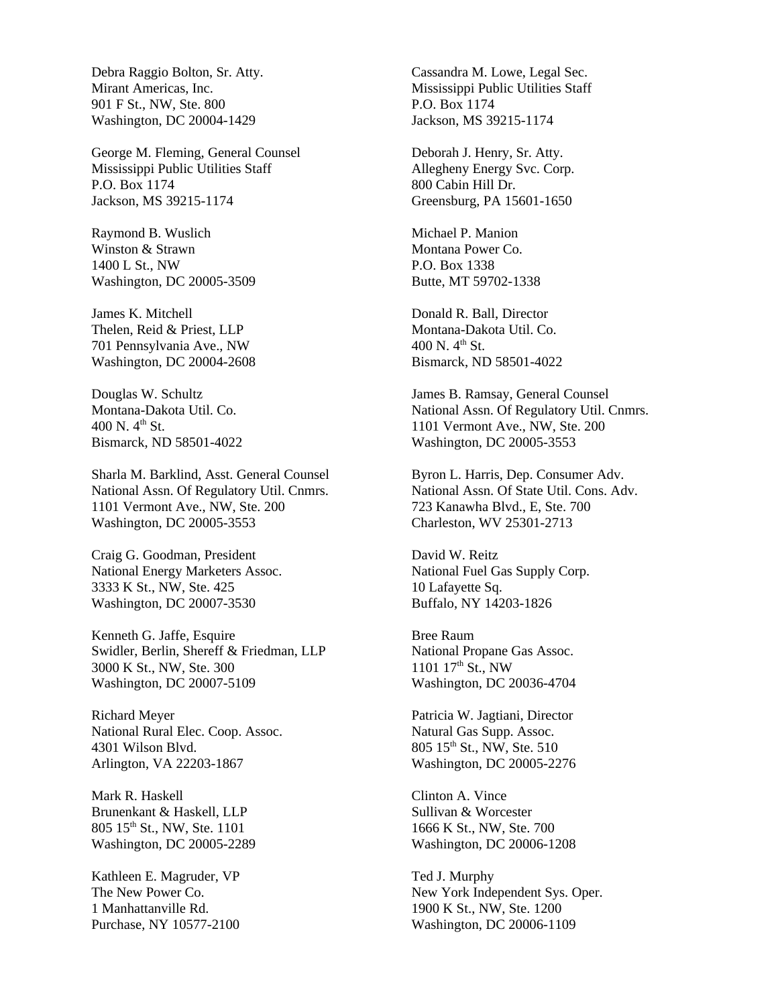Debra Raggio Bolton, Sr. Atty. Mirant Americas, Inc. 901 F St., NW, Ste. 800 Washington, DC 20004-1429

George M. Fleming, General Counsel Mississippi Public Utilities Staff P.O. Box 1174 Jackson, MS 39215-1174

Raymond B. Wuslich Winston & Strawn 1400 L St., NW Washington, DC 20005-3509

James K. Mitchell Thelen, Reid & Priest, LLP 701 Pennsylvania Ave., NW Washington, DC 20004-2608

Douglas W. Schultz Montana-Dakota Util. Co. 400 N.  $4^{th}$  St. Bismarck, ND 58501-4022

Sharla M. Barklind, Asst. General Counsel National Assn. Of Regulatory Util. Cnmrs. 1101 Vermont Ave., NW, Ste. 200 Washington, DC 20005-3553

Craig G. Goodman, President National Energy Marketers Assoc. 3333 K St., NW, Ste. 425 Washington, DC 20007-3530

Kenneth G. Jaffe, Esquire Swidler, Berlin, Shereff & Friedman, LLP 3000 K St., NW, Ste. 300 Washington, DC 20007-5109

Richard Meyer National Rural Elec. Coop. Assoc. 4301 Wilson Blvd. Arlington, VA 22203-1867

Mark R. Haskell Brunenkant & Haskell, LLP 805 15th St., NW, Ste. 1101 Washington, DC 20005-2289

Kathleen E. Magruder, VP The New Power Co. 1 Manhattanville Rd. Purchase, NY 10577-2100 Cassandra M. Lowe, Legal Sec. Mississippi Public Utilities Staff P.O. Box 1174 Jackson, MS 39215-1174

Deborah J. Henry, Sr. Atty. Allegheny Energy Svc. Corp. 800 Cabin Hill Dr. Greensburg, PA 15601-1650

Michael P. Manion Montana Power Co. P.O. Box 1338 Butte, MT 59702-1338

Donald R. Ball, Director Montana-Dakota Util. Co.  $400 \text{ N}$ .  $4^{\text{th}}$  St. Bismarck, ND 58501-4022

James B. Ramsay, General Counsel National Assn. Of Regulatory Util. Cnmrs. 1101 Vermont Ave., NW, Ste. 200 Washington, DC 20005-3553

Byron L. Harris, Dep. Consumer Adv. National Assn. Of State Util. Cons. Adv. 723 Kanawha Blvd., E, Ste. 700 Charleston, WV 25301-2713

David W. Reitz National Fuel Gas Supply Corp. 10 Lafayette Sq. Buffalo, NY 14203-1826

Bree Raum National Propane Gas Assoc.  $1101 \frac{17^{\text{th}} \text{St.}}{\text{NW}}$ Washington, DC 20036-4704

Patricia W. Jagtiani, Director Natural Gas Supp. Assoc. 805 15<sup>th</sup> St., NW, Ste. 510 Washington, DC 20005-2276

Clinton A. Vince Sullivan & Worcester 1666 K St., NW, Ste. 700 Washington, DC 20006-1208

Ted J. Murphy New York Independent Sys. Oper. 1900 K St., NW, Ste. 1200 Washington, DC 20006-1109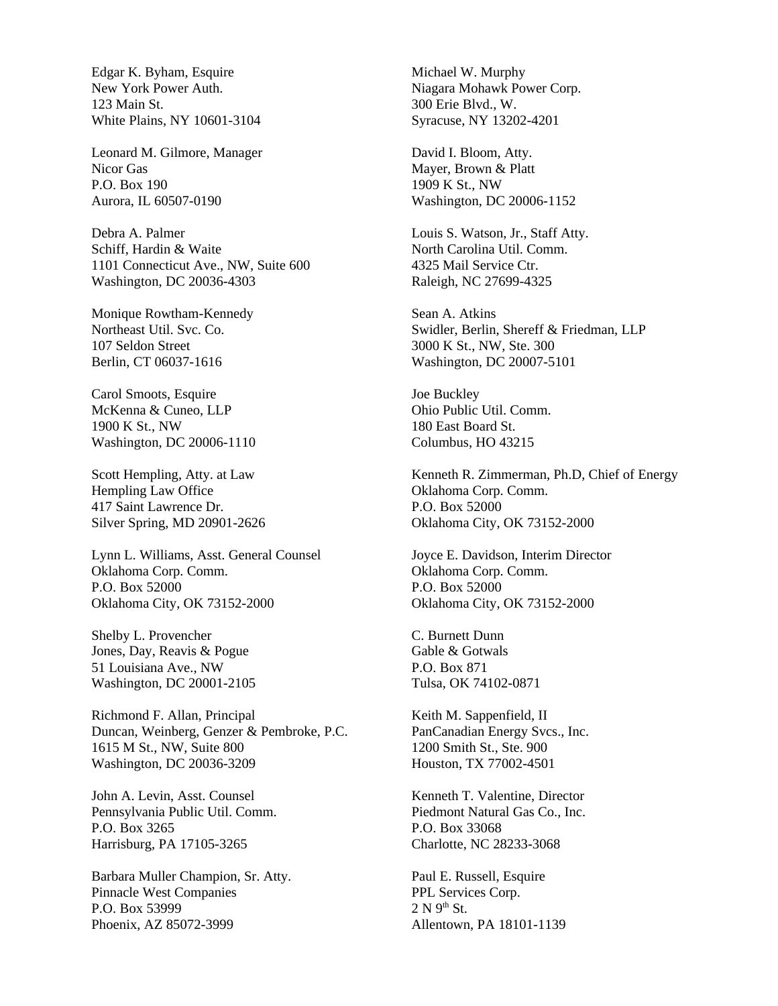Edgar K. Byham, Esquire New York Power Auth. 123 Main St. White Plains, NY 10601-3104

Leonard M. Gilmore, Manager Nicor Gas P.O. Box 190 Aurora, IL 60507-0190

Debra A. Palmer Schiff, Hardin & Waite 1101 Connecticut Ave., NW, Suite 600 Washington, DC 20036-4303

Monique Rowtham-Kennedy Northeast Util. Svc. Co. 107 Seldon Street Berlin, CT 06037-1616

Carol Smoots, Esquire McKenna & Cuneo, LLP 1900 K St., NW Washington, DC 20006-1110

Scott Hempling, Atty. at Law Hempling Law Office 417 Saint Lawrence Dr. Silver Spring, MD 20901-2626

Lynn L. Williams, Asst. General Counsel Oklahoma Corp. Comm. P.O. Box 52000 Oklahoma City, OK 73152-2000

Shelby L. Provencher Jones, Day, Reavis & Pogue 51 Louisiana Ave., NW Washington, DC 20001-2105

Richmond F. Allan, Principal Duncan, Weinberg, Genzer & Pembroke, P.C. 1615 M St., NW, Suite 800 Washington, DC 20036-3209

John A. Levin, Asst. Counsel Pennsylvania Public Util. Comm. P.O. Box 3265 Harrisburg, PA 17105-3265

Barbara Muller Champion, Sr. Atty. Pinnacle West Companies P.O. Box 53999 Phoenix, AZ 85072-3999

Michael W. Murphy Niagara Mohawk Power Corp. 300 Erie Blvd., W. Syracuse, NY 13202-4201

David I. Bloom, Atty. Mayer, Brown & Platt 1909 K St., NW Washington, DC 20006-1152

Louis S. Watson, Jr., Staff Atty. North Carolina Util. Comm. 4325 Mail Service Ctr. Raleigh, NC 27699-4325

Sean A. Atkins Swidler, Berlin, Shereff & Friedman, LLP 3000 K St., NW, Ste. 300 Washington, DC 20007-5101

Joe Buckley Ohio Public Util. Comm. 180 East Board St. Columbus, HO 43215

Kenneth R. Zimmerman, Ph.D, Chief of Energy Oklahoma Corp. Comm. P.O. Box 52000 Oklahoma City, OK 73152-2000

Joyce E. Davidson, Interim Director Oklahoma Corp. Comm. P.O. Box 52000 Oklahoma City, OK 73152-2000

C. Burnett Dunn Gable & Gotwals P.O. Box 871 Tulsa, OK 74102-0871

Keith M. Sappenfield, II PanCanadian Energy Svcs., Inc. 1200 Smith St., Ste. 900 Houston, TX 77002-4501

Kenneth T. Valentine, Director Piedmont Natural Gas Co., Inc. P.O. Box 33068 Charlotte, NC 28233-3068

Paul E. Russell, Esquire PPL Services Corp.  $2 N 9<sup>th</sup> St.$ Allentown, PA 18101-1139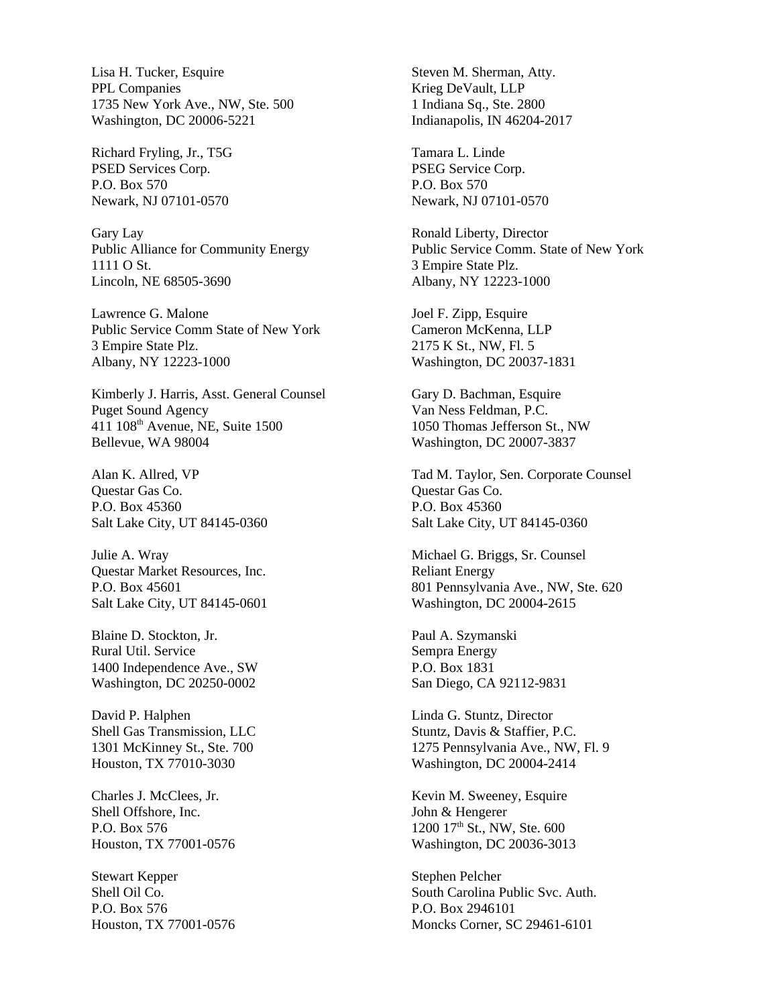Lisa H. Tucker, Esquire PPL Companies 1735 New York Ave., NW, Ste. 500 Washington, DC 20006-5221

Richard Fryling, Jr., T5G PSED Services Corp. P.O. Box 570 Newark, NJ 07101-0570

Gary Lay Public Alliance for Community Energy 1111 O St. Lincoln, NE 68505-3690

Lawrence G. Malone Public Service Comm State of New York 3 Empire State Plz. Albany, NY 12223-1000

Kimberly J. Harris, Asst. General Counsel Puget Sound Agency 411 108th Avenue, NE, Suite 1500 Bellevue, WA 98004

Alan K. Allred, VP Questar Gas Co. P.O. Box 45360 Salt Lake City, UT 84145-0360

Julie A. Wray Questar Market Resources, Inc. P.O. Box 45601 Salt Lake City, UT 84145-0601

Blaine D. Stockton, Jr. Rural Util. Service 1400 Independence Ave., SW Washington, DC 20250-0002

David P. Halphen Shell Gas Transmission, LLC 1301 McKinney St., Ste. 700 Houston, TX 77010-3030

Charles J. McClees, Jr. Shell Offshore, Inc. P.O. Box 576 Houston, TX 77001-0576

Stewart Kepper Shell Oil Co. P.O. Box 576 Houston, TX 77001-0576 Steven M. Sherman, Atty. Krieg DeVault, LLP 1 Indiana Sq., Ste. 2800 Indianapolis, IN 46204-2017

Tamara L. Linde PSEG Service Corp. P.O. Box 570 Newark, NJ 07101-0570

Ronald Liberty, Director Public Service Comm. State of New York 3 Empire State Plz. Albany, NY 12223-1000

Joel F. Zipp, Esquire Cameron McKenna, LLP 2175 K St., NW, Fl. 5 Washington, DC 20037-1831

Gary D. Bachman, Esquire Van Ness Feldman, P.C. 1050 Thomas Jefferson St., NW Washington, DC 20007-3837

Tad M. Taylor, Sen. Corporate Counsel Questar Gas Co. P.O. Box 45360 Salt Lake City, UT 84145-0360

Michael G. Briggs, Sr. Counsel Reliant Energy 801 Pennsylvania Ave., NW, Ste. 620 Washington, DC 20004-2615

Paul A. Szymanski Sempra Energy P.O. Box 1831 San Diego, CA 92112-9831

Linda G. Stuntz, Director Stuntz, Davis & Staffier, P.C. 1275 Pennsylvania Ave., NW, Fl. 9 Washington, DC 20004-2414

Kevin M. Sweeney, Esquire John & Hengerer 1200 17<sup>th</sup> St., NW, Ste. 600 Washington, DC 20036-3013

Stephen Pelcher South Carolina Public Svc. Auth. P.O. Box 2946101 Moncks Corner, SC 29461-6101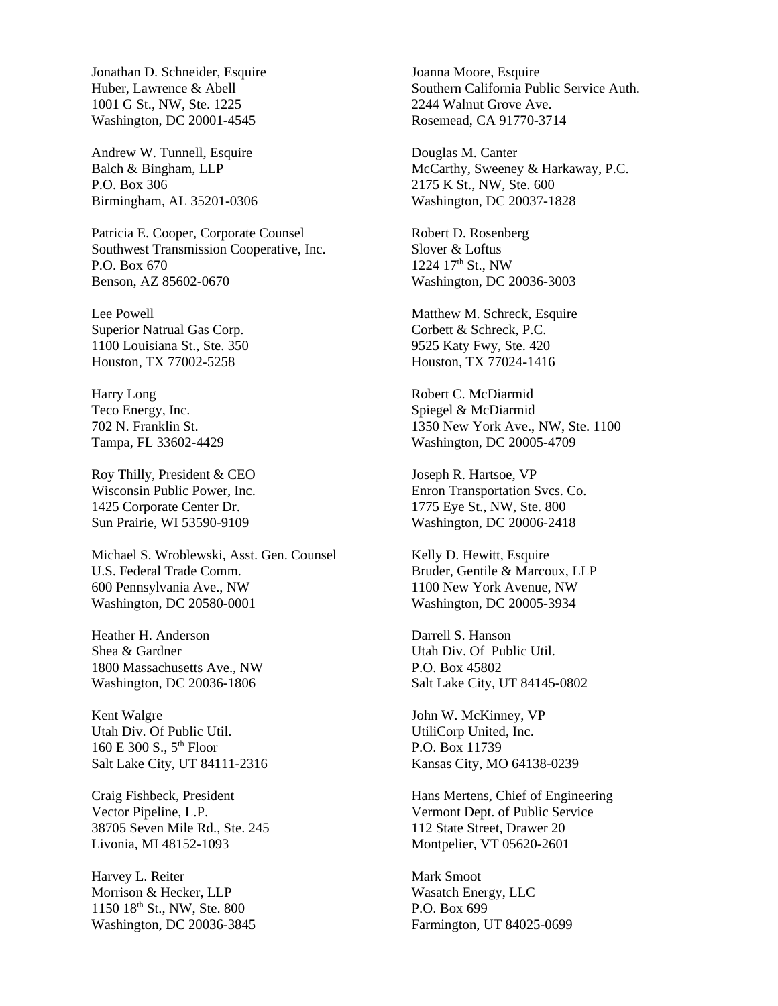Jonathan D. Schneider, Esquire Huber, Lawrence & Abell 1001 G St., NW, Ste. 1225 Washington, DC 20001-4545

Andrew W. Tunnell, Esquire Balch & Bingham, LLP P.O. Box 306 Birmingham, AL 35201-0306

Patricia E. Cooper, Corporate Counsel Southwest Transmission Cooperative, Inc. P.O. Box 670 Benson, AZ 85602-0670

Lee Powell Superior Natrual Gas Corp. 1100 Louisiana St., Ste. 350 Houston, TX 77002-5258

Harry Long Teco Energy, Inc. 702 N. Franklin St. Tampa, FL 33602-4429

Roy Thilly, President & CEO Wisconsin Public Power, Inc. 1425 Corporate Center Dr. Sun Prairie, WI 53590-9109

Michael S. Wroblewski, Asst. Gen. Counsel U.S. Federal Trade Comm. 600 Pennsylvania Ave., NW Washington, DC 20580-0001

Heather H. Anderson Shea & Gardner 1800 Massachusetts Ave., NW Washington, DC 20036-1806

Kent Walgre Utah Div. Of Public Util. 160 E 300 S.,  $5^{th}$  Floor Salt Lake City, UT 84111-2316

Craig Fishbeck, President Vector Pipeline, L.P. 38705 Seven Mile Rd., Ste. 245 Livonia, MI 48152-1093

Harvey L. Reiter Morrison & Hecker, LLP 1150 18<sup>th</sup> St., NW, Ste. 800 Washington, DC 20036-3845 Joanna Moore, Esquire Southern California Public Service Auth. 2244 Walnut Grove Ave. Rosemead, CA 91770-3714

Douglas M. Canter McCarthy, Sweeney & Harkaway, P.C. 2175 K St., NW, Ste. 600 Washington, DC 20037-1828

Robert D. Rosenberg Slover & Loftus 1224 17<sup>th</sup> St., NW Washington, DC 20036-3003

Matthew M. Schreck, Esquire Corbett & Schreck, P.C. 9525 Katy Fwy, Ste. 420 Houston, TX 77024-1416

Robert C. McDiarmid Spiegel & McDiarmid 1350 New York Ave., NW, Ste. 1100 Washington, DC 20005-4709

Joseph R. Hartsoe, VP Enron Transportation Svcs. Co. 1775 Eye St., NW, Ste. 800 Washington, DC 20006-2418

Kelly D. Hewitt, Esquire Bruder, Gentile & Marcoux, LLP 1100 New York Avenue, NW Washington, DC 20005-3934

Darrell S. Hanson Utah Div. Of Public Util. P.O. Box 45802 Salt Lake City, UT 84145-0802

John W. McKinney, VP UtiliCorp United, Inc. P.O. Box 11739 Kansas City, MO 64138-0239

Hans Mertens, Chief of Engineering Vermont Dept. of Public Service 112 State Street, Drawer 20 Montpelier, VT 05620-2601

Mark Smoot Wasatch Energy, LLC P.O. Box 699 Farmington, UT 84025-0699